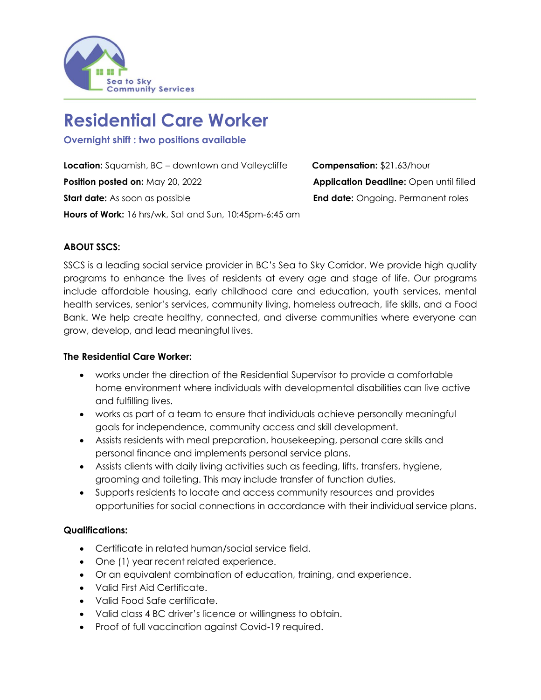

# **Residential Care Worker**

**Overnight shift : two positions available**

**Location:** Squamish, BC – downtown and Valleycliffe **Compensation:** \$21.63/hour **Position posted on:** May 20, 2022 **Application Deadline:** Open until filled **Start date:** As soon as possible **End date:** Ongoing. Permanent roles **Hours of Work:** 16 hrs/wk, Sat and Sun, 10:45pm-6:45 am

# **ABOUT SSCS:**

SSCS is a leading social service provider in BC's Sea to Sky Corridor. We provide high quality programs to enhance the lives of residents at every age and stage of life. Our programs include affordable housing, early childhood care and education, youth services, mental health services, senior's services, community living, homeless outreach, life skills, and a Food Bank. We help create healthy, connected, and diverse communities where everyone can grow, develop, and lead meaningful lives.

## **The Residential Care Worker:**

- works under the direction of the Residential Supervisor to provide a comfortable home environment where individuals with developmental disabilities can live active and fulfilling lives.
- works as part of a team to ensure that individuals achieve personally meaningful goals for independence, community access and skill development.
- Assists residents with meal preparation, housekeeping, personal care skills and personal finance and implements personal service plans.
- Assists clients with daily living activities such as feeding, lifts, transfers, hygiene, grooming and toileting. This may include transfer of function duties.
- Supports residents to locate and access community resources and provides opportunities for social connections in accordance with their individual service plans.

# **Qualifications:**

- Certificate in related human/social service field.
- One (1) year recent related experience.
- Or an equivalent combination of education, training, and experience.
- Valid First Aid Certificate.
- Valid Food Safe certificate.
- Valid class 4 BC driver's licence or willingness to obtain.
- Proof of full vaccination against Covid-19 required.